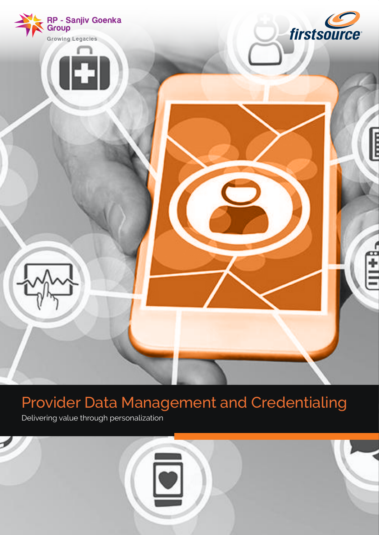

# Provider Data Management and Credentialing

Delivering value through personalization

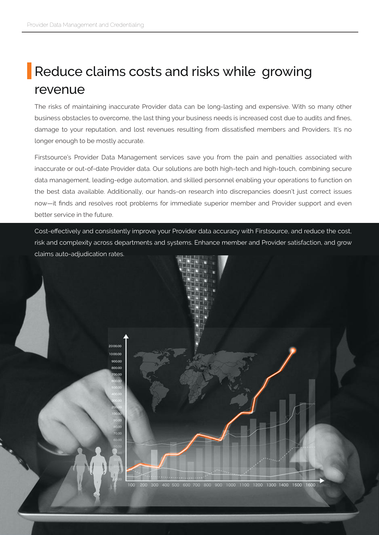## Reduce claims costs and risks while growing revenue

The risks of maintaining inaccurate Provider data can be long-lasting and expensive. With so many other business obstacles to overcome, the last thing your business needs is increased cost due to audits and fines, damage to your reputation, and lost revenues resulting from dissatisfied members and Providers. It's no longer enough to be mostly accurate.

Firstsource's Provider Data Management services save you from the pain and penalties associated with inaccurate or out-of-date Provider data. Our solutions are both high-tech and high-touch, combining secure data management, leading-edge automation, and skilled personnel enabling your operations to function on the best data available. Additionally, our hands-on research into discrepancies doesn't just correct issues now—it finds and resolves root problems for immediate superior member and Provider support and even better service in the future.

Cost-effectively and consistently improve your Provider data accuracy with Firstsource, and reduce the cost, risk and complexity across departments and systems. Enhance member and Provider satisfaction, and grow claims auto-adjudication rates.

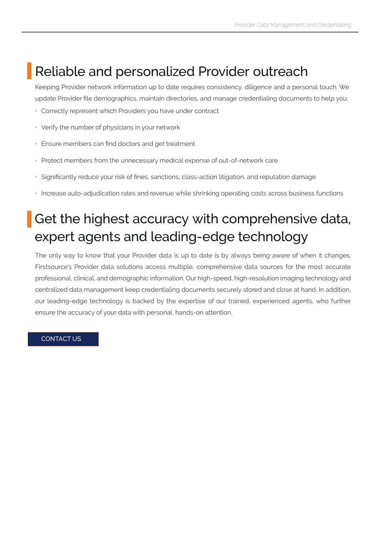#### Reliable and personalized Provider outreach

Keeping Provider network information up to date requires consistency, diligence and a personal touch. We update Provider file demographics, maintain directories, and manage credentialing documents to help you:

- Correctly represent which Providers you have under contract
- Verify the number of physicians in your network
- Ensure members can find doctors and get treatment •
- Protect members from the unnecessary medical expense of out-of-network care
- Significantly reduce your risk of fines, sanctions, class-action litigation, and reputation damage
- Increase auto-adjudication rates and revenue while shrinking operating costs across business functions

# Get the highest accuracy with comprehensive data, expert agents and leading-edge technology

The only way to know that your Provider data is up to date is by always being aware of when it changes. Firstsource's Provider data solutions access multiple, comprehensive data sources for the most accurate professional, clinical, and demographic information. Our high-speed, high-resolution imaging technology and centralized data management keep credentialing documents securely stored and close at hand. In addition, our leading-edge technology is backed by the expertise of our trained, experienced agents, who further ensure the accuracy of your data with personal, hands-on attention.

#### CONTACT US